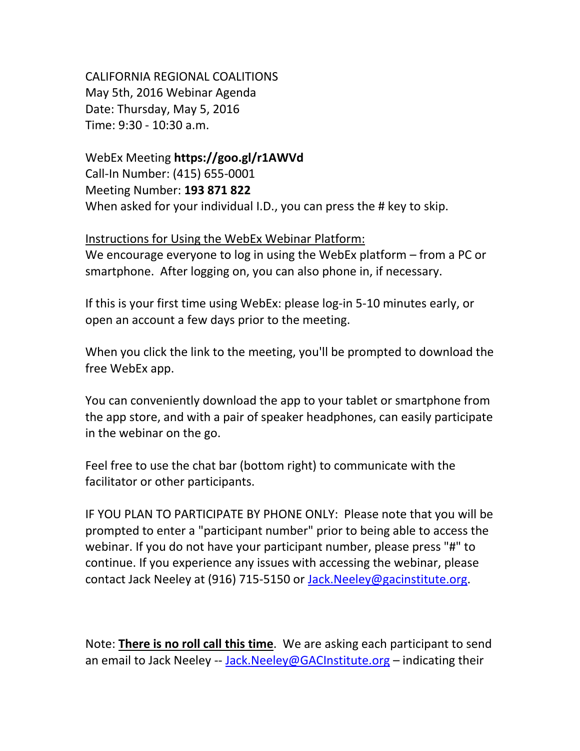CALIFORNIA REGIONAL COALITIONS May 5th, 2016 Webinar Agenda Date: Thursday, May 5, 2016 Time: 9:30 - 10:30 a.m.

WebEx Meeting **https://goo.gl/r1AWVd**

Call-In Number: (415) 655-0001 Meeting Number: **193 871 822** When asked for your individual I.D., you can press the # key to skip.

## Instructions for Using the WebEx Webinar Platform:

We encourage everyone to log in using the WebEx platform – from a PC or smartphone. After logging on, you can also phone in, if necessary.

If this is your first time using WebEx: please log-in 5-10 minutes early, or open an account a few days prior to the meeting.

When you click the link to the meeting, you'll be prompted to download the free WebEx app.

You can conveniently download the app to your tablet or smartphone from the app store, and with a pair of speaker headphones, can easily participate in the webinar on the go.

Feel free to use the chat bar (bottom right) to communicate with the facilitator or other participants.

IF YOU PLAN TO PARTICIPATE BY PHONE ONLY: Please note that you will be prompted to enter a "participant number" prior to being able to access the webinar. If you do not have your participant number, please press "#" to continue. If you experience any issues with accessing the webinar, please contact Jack Neeley at (916) 715-5150 or [Jack.Neeley@gacinstitute.org.](mailto:Jack.Neeley@gacinstitute.org)

Note: **There is no roll call this time**. We are asking each participant to send an email to Jack Neeley -- [Jack.Neeley@GACInstitute.org](mailto:Jack.Neeley@GACInstitute.org) - indicating their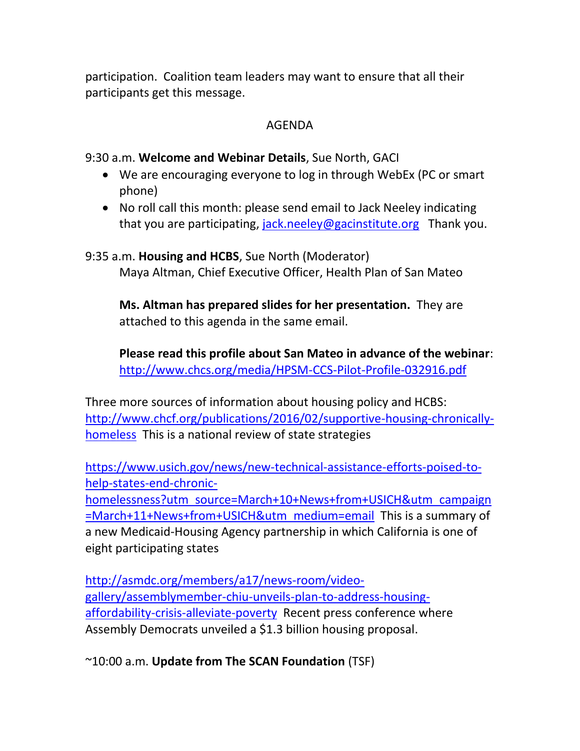participation. Coalition team leaders may want to ensure that all their participants get this message.

## AGENDA

9:30 a.m. **Welcome and Webinar Details**, Sue North, GACI

- We are encouraging everyone to log in through WebEx (PC or smart phone)
- No roll call this month: please send email to Jack Neeley indicating that you are participating, [jack.neeley@gacinstitute.org](mailto:jack.neeley@gacinstitute.org) Thank you.

9:35 a.m. **Housing and HCBS**, Sue North (Moderator) Maya Altman, Chief Executive Officer, Health Plan of San Mateo

**Ms. Altman has prepared slides for her presentation.** They are attached to this agenda in the same email.

**Please read this profile about San Mateo in advance of the webinar**: <http://www.chcs.org/media/HPSM-CCS-Pilot-Profile-032916.pdf>

Three more sources of information about housing policy and HCBS: [http://www.chcf.org/publications/2016/02/supportive-housing-chronically](http://www.chcf.org/publications/2016/02/supportive-housing-chronically-homeless)[homeless](http://www.chcf.org/publications/2016/02/supportive-housing-chronically-homeless) This is a national review of state strategies

[https://www.usich.gov/news/new-technical-assistance-efforts-poised-to](https://www.usich.gov/news/new-technical-assistance-efforts-poised-to-help-states-end-chronic-homelessness?utm_source=March+10+News+from+USICH&utm_campaign=March+11+News+from+USICH&utm_medium=email)[help-states-end-chronic-](https://www.usich.gov/news/new-technical-assistance-efforts-poised-to-help-states-end-chronic-homelessness?utm_source=March+10+News+from+USICH&utm_campaign=March+11+News+from+USICH&utm_medium=email)

[homelessness?utm\\_source=March+10+News+from+USICH&utm\\_campaign](https://www.usich.gov/news/new-technical-assistance-efforts-poised-to-help-states-end-chronic-homelessness?utm_source=March+10+News+from+USICH&utm_campaign=March+11+News+from+USICH&utm_medium=email) [=March+11+News+from+USICH&utm\\_medium=email](https://www.usich.gov/news/new-technical-assistance-efforts-poised-to-help-states-end-chronic-homelessness?utm_source=March+10+News+from+USICH&utm_campaign=March+11+News+from+USICH&utm_medium=email) This is a summary of a new Medicaid-Housing Agency partnership in which California is one of eight participating states

[http://asmdc.org/members/a17/news-room/video](http://asmdc.org/members/a17/news-room/video-gallery/assemblymember-chiu-unveils-plan-to-address-housing-affordability-crisis-alleviate-poverty)[gallery/assemblymember-chiu-unveils-plan-to-address-housing](http://asmdc.org/members/a17/news-room/video-gallery/assemblymember-chiu-unveils-plan-to-address-housing-affordability-crisis-alleviate-poverty)[affordability-crisis-alleviate-poverty](http://asmdc.org/members/a17/news-room/video-gallery/assemblymember-chiu-unveils-plan-to-address-housing-affordability-crisis-alleviate-poverty) Recent press conference where Assembly Democrats unveiled a \$1.3 billion housing proposal.

~10:00 a.m. **Update from The SCAN Foundation** (TSF)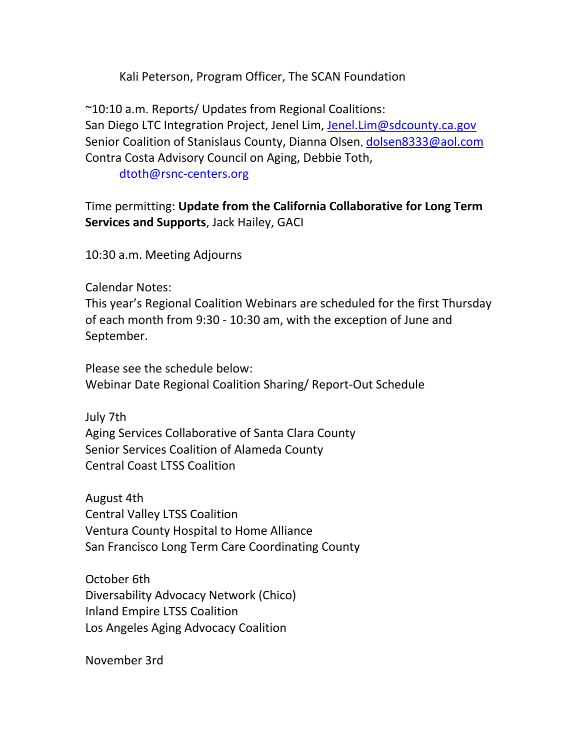Kali Peterson, Program Officer, The SCAN Foundation

~10:10 a.m. Reports/ Updates from Regional Coalitions: San Diego LTC Integration Project, Jenel Lim, [Jenel.Lim@sdcounty.ca.gov](mailto:Jenel.Lim@sdcounty.ca.gov) Senior Coalition of Stanislaus County, Dianna Olsen, [dolsen8333@aol.com](mailto:dolsen8333@aol.com) Contra Costa Advisory Council on Aging, Debbie Toth,

[dtoth@rsnc-centers.org](mailto:dtoth@rsnc-centers.org)

Time permitting: **Update from the California Collaborative for Long Term Services and Supports**, Jack Hailey, GACI

10:30 a.m. Meeting Adjourns

Calendar Notes:

This year's Regional Coalition Webinars are scheduled for the first Thursday of each month from 9:30 - 10:30 am, with the exception of June and September.

Please see the schedule below: Webinar Date Regional Coalition Sharing/ Report-Out Schedule

July 7th Aging Services Collaborative of Santa Clara County Senior Services Coalition of Alameda County Central Coast LTSS Coalition

August 4th Central Valley LTSS Coalition Ventura County Hospital to Home Alliance San Francisco Long Term Care Coordinating County

October 6th Diversability Advocacy Network (Chico) Inland Empire LTSS Coalition Los Angeles Aging Advocacy Coalition

November 3rd